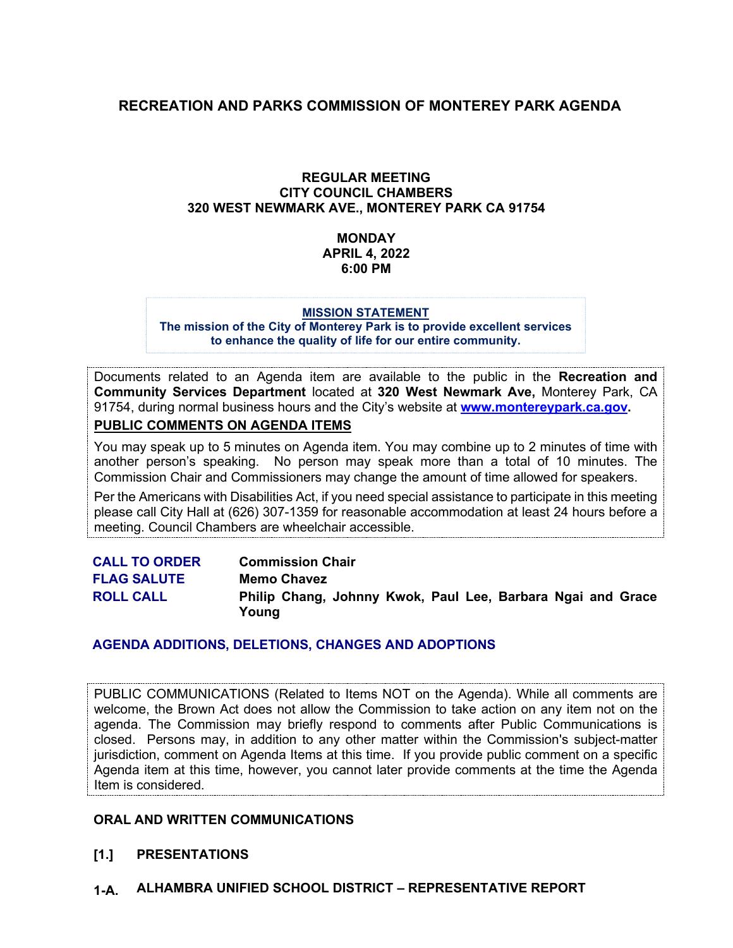# **RECREATION AND PARKS COMMISSION OF MONTEREY PARK AGENDA**

#### **REGULAR MEETING CITY COUNCIL CHAMBERS 320 WEST NEWMARK AVE., MONTEREY PARK CA 91754**

#### **MONDAY APRIL 4, 2022 6:00 PM**

#### **MISSION STATEMENT**

**The mission of the City of Monterey Park is to provide excellent services to enhance the quality of life for our entire community.**

Documents related to an Agenda item are available to the public in the **Recreation and Community Services Department** located at **320 West Newmark Ave,** Monterey Park, CA 91754, during normal business hours and the City's website at **[www.montereypark.ca.gov.](http://www.montereypark.ca.gov/)** 

**PUBLIC COMMENTS ON AGENDA ITEMS**

You may speak up to 5 minutes on Agenda item. You may combine up to 2 minutes of time with another person's speaking. No person may speak more than a total of 10 minutes. The Commission Chair and Commissioners may change the amount of time allowed for speakers.

Per the Americans with Disabilities Act, if you need special assistance to participate in this meeting please call City Hall at (626) 307-1359 for reasonable accommodation at least 24 hours before a meeting. Council Chambers are wheelchair accessible.

| <b>CALL TO ORDER</b> | <b>Commission Chair</b>                                              |
|----------------------|----------------------------------------------------------------------|
| <b>FLAG SALUTE</b>   | <b>Memo Chavez</b>                                                   |
| <b>ROLL CALL</b>     | Philip Chang, Johnny Kwok, Paul Lee, Barbara Ngai and Grace<br>Young |

#### **AGENDA ADDITIONS, DELETIONS, CHANGES AND ADOPTIONS**

PUBLIC COMMUNICATIONS (Related to Items NOT on the Agenda). While all comments are welcome, the Brown Act does not allow the Commission to take action on any item not on the agenda. The Commission may briefly respond to comments after Public Communications is closed. Persons may, in addition to any other matter within the Commission's subject-matter jurisdiction, comment on Agenda Items at this time. If you provide public comment on a specific Agenda item at this time, however, you cannot later provide comments at the time the Agenda Item is considered.

#### **ORAL AND WRITTEN COMMUNICATIONS**

#### **[1.] PRESENTATIONS**

**1-A. ALHAMBRA UNIFIED SCHOOL DISTRICT – REPRESENTATIVE REPORT**